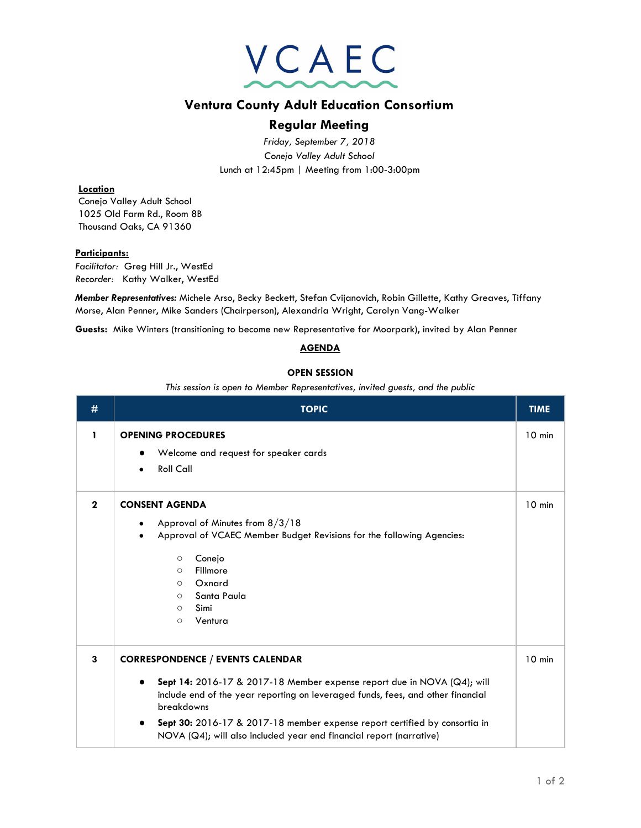

# **Ventura County Adult Education Consortium**

# **Regular Meeting**

*Friday, September 7, 2018 Conejo Valley Adult School* Lunch at 12:45pm | Meeting from 1:00-3:00pm

## **Location**

Conejo Valley Adult School 1025 Old Farm Rd., Room 8B Thousand Oaks, CA 91360

### **Participants:**

*Facilitator:* Greg Hill Jr., WestEd *Recorder:* Kathy Walker, WestEd

*Member Representatives:* Michele Arso, Becky Beckett, Stefan Cvijanovich, Robin Gillette, Kathy Greaves, Tiffany Morse, Alan Penner, Mike Sanders (Chairperson), Alexandria Wright, Carolyn Vang-Walker

**Guests:** Mike Winters (transitioning to become new Representative for Moorpark), invited by Alan Penner

#### **AGENDA**

#### **OPEN SESSION**

*This session is open to Member Representatives, invited guests, and the public*

| #            | <b>TOPIC</b>                                                                                                                                                                                                                                                                                                                                                                          | <b>TIME</b> |
|--------------|---------------------------------------------------------------------------------------------------------------------------------------------------------------------------------------------------------------------------------------------------------------------------------------------------------------------------------------------------------------------------------------|-------------|
| 1            | <b>OPENING PROCEDURES</b><br>Welcome and request for speaker cards<br><b>Roll Call</b>                                                                                                                                                                                                                                                                                                | $10$ min    |
| $\mathbf{2}$ | <b>CONSENT AGENDA</b><br>Approval of Minutes from 8/3/18<br>Approval of VCAEC Member Budget Revisions for the following Agencies:<br>Conejo<br>$\circ$<br>Fillmore<br>$\circ$<br>Oxnard<br>$\circ$<br>Santa Paula<br>$\circ$<br>Simi<br>$\circ$<br>Ventura<br>$\circ$                                                                                                                 | $10$ min    |
| 3            | <b>CORRESPONDENCE / EVENTS CALENDAR</b><br>Sept 14: 2016-17 & 2017-18 Member expense report due in NOVA (Q4); will<br>include end of the year reporting on leveraged funds, fees, and other financial<br>breakdowns<br>Sept 30: 2016-17 & 2017-18 member expense report certified by consortia in<br>$\bullet$<br>NOVA (Q4); will also included year end financial report (narrative) | $10$ min    |